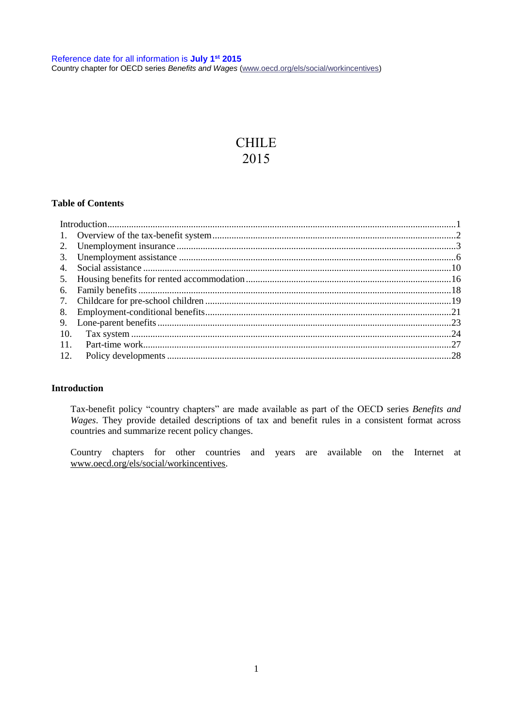# CHILE 2015

# **Table of Contents**

| 10. |  |
|-----|--|
| 11. |  |
| 12. |  |
|     |  |

#### <span id="page-0-0"></span>**Introduction**

Tax-benefit policy "country chapters" are made available as part of the OECD series *[Benefits and](http://www.oecd.org/els/social/workincentives)  [Wages](http://www.oecd.org/els/social/workincentives)*. They provide detailed descriptions of tax and benefit rules in a consistent format across countries and summarize recent policy changes.

Country chapters for other countries and years are available on the Internet at [www.oecd.org/els/social/workincentives.](http://www.oecd.org/els/social/workincentives)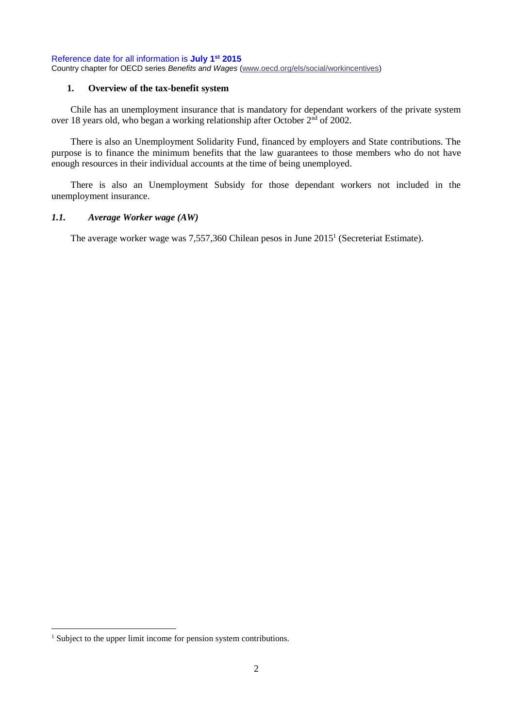### <span id="page-1-0"></span>**1. Overview of the tax-benefit system**

Chile has an unemployment insurance that is mandatory for dependant workers of the private system over 18 years old, who began a working relationship after October  $2<sup>nd</sup>$  of 2002.

There is also an Unemployment Solidarity Fund, financed by employers and State contributions. The purpose is to finance the minimum benefits that the law guarantees to those members who do not have enough resources in their individual accounts at the time of being unemployed.

There is also an Unemployment Subsidy for those dependant workers not included in the unemployment insurance.

### *1.1. Average Worker wage (AW)*

The average worker wage was 7,557,360 Chilean pesos in June 2015<sup>1</sup> (Secreteriat Estimate).

<sup>&</sup>lt;sup>1</sup> Subject to the upper limit income for pension system contributions.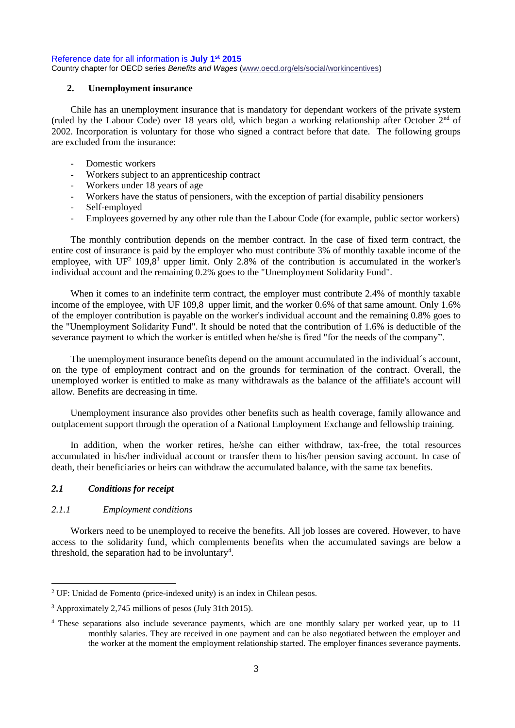#### <span id="page-2-0"></span>**2. Unemployment insurance**

Chile has an unemployment insurance that is mandatory for dependant workers of the private system (ruled by the Labour Code) over 18 years old, which began a working relationship after October  $2<sup>nd</sup>$  of 2002. Incorporation is voluntary for those who signed a contract before that date. The following groups are excluded from the insurance:

- Domestic workers
- Workers subject to an apprenticeship contract
- Workers under 18 years of age
- Workers have the status of pensioners, with the exception of partial disability pensioners
- Self-employed
- Employees governed by any other rule than the Labour Code (for example, public sector workers)

The monthly contribution depends on the member contract. In the case of fixed term contract, the entire cost of insurance is paid by the employer who must contribute 3% of monthly taxable income of the employee, with  $UF^2 109.8^3$  upper limit. Only 2.8% of the contribution is accumulated in the worker's individual account and the remaining 0.2% goes to the "Unemployment Solidarity Fund".

When it comes to an indefinite term contract, the employer must contribute 2.4% of monthly taxable income of the employee, with UF 109,8 upper limit, and the worker 0.6% of that same amount. Only 1.6% of the employer contribution is payable on the worker's individual account and the remaining 0.8% goes to the "Unemployment Solidarity Fund". It should be noted that the contribution of 1.6% is deductible of the severance payment to which the worker is entitled when he/she is fired "for the needs of the company".

The unemployment insurance benefits depend on the amount accumulated in the individual´s account, on the type of employment contract and on the grounds for termination of the contract. Overall, the unemployed worker is entitled to make as many withdrawals as the balance of the affiliate's account will allow. Benefits are decreasing in time.

Unemployment insurance also provides other benefits such as health coverage, family allowance and outplacement support through the operation of a National Employment Exchange and fellowship training.

In addition, when the worker retires, he/she can either withdraw, tax-free, the total resources accumulated in his/her individual account or transfer them to his/her pension saving account. In case of death, their beneficiaries or heirs can withdraw the accumulated balance, with the same tax benefits.

### *2.1 Conditions for receipt*

### *2.1.1 Employment conditions*

Workers need to be unemployed to receive the benefits. All job losses are covered. However, to have access to the solidarity fund, which complements benefits when the accumulated savings are below a threshold, the separation had to be involuntary<sup>4</sup>.

 $2$  UF: Unidad de Fomento (price-indexed unity) is an index in Chilean pesos.

<sup>3</sup> Approximately 2,745 millions of pesos (July 31th 2015).

<sup>4</sup> These separations also include severance payments, which are one monthly salary per worked year, up to 11 monthly salaries. They are received in one payment and can be also negotiated between the employer and the worker at the moment the employment relationship started. The employer finances severance payments.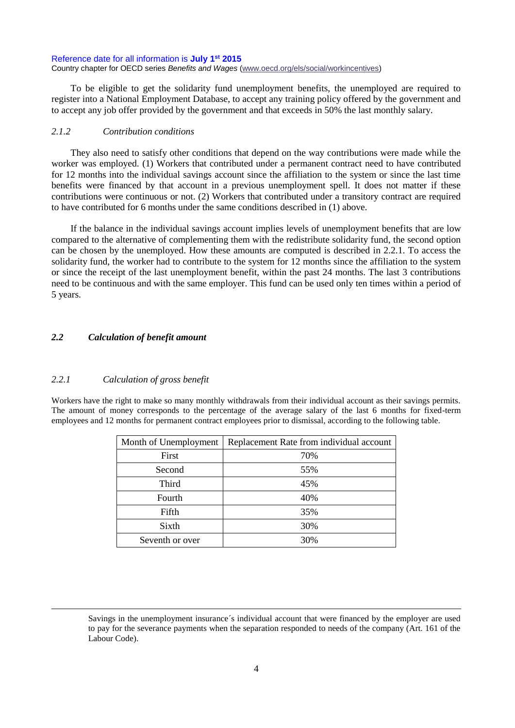To be eligible to get the solidarity fund unemployment benefits, the unemployed are required to register into a National Employment Database, to accept any training policy offered by the government and to accept any job offer provided by the government and that exceeds in 50% the last monthly salary.

### *2.1.2 Contribution conditions*

They also need to satisfy other conditions that depend on the way contributions were made while the worker was employed. (1) Workers that contributed under a permanent contract need to have contributed for 12 months into the individual savings account since the affiliation to the system or since the last time benefits were financed by that account in a previous unemployment spell. It does not matter if these contributions were continuous or not. (2) Workers that contributed under a transitory contract are required to have contributed for 6 months under the same conditions described in (1) above.

If the balance in the individual savings account implies levels of unemployment benefits that are low compared to the alternative of complementing them with the redistribute solidarity fund, the second option can be chosen by the unemployed. How these amounts are computed is described in 2.2.1. To access the solidarity fund, the worker had to contribute to the system for 12 months since the affiliation to the system or since the receipt of the last unemployment benefit, within the past 24 months. The last 3 contributions need to be continuous and with the same employer. This fund can be used only ten times within a period of 5 years.

# *2.2 Calculation of benefit amount*

#### *2.2.1 Calculation of gross benefit*

 $\overline{a}$ 

Workers have the right to make so many monthly withdrawals from their individual account as their savings permits. The amount of money corresponds to the percentage of the average salary of the last 6 months for fixed-term employees and 12 months for permanent contract employees prior to dismissal, according to the following table.

| Month of Unemployment | Replacement Rate from individual account |
|-----------------------|------------------------------------------|
| First                 | 70%                                      |
| Second                | 55%                                      |
| Third                 | 45%                                      |
| Fourth                | 40%                                      |
| Fifth                 | 35%                                      |
| Sixth                 | 30%                                      |
| Seventh or over       | 30%                                      |

Savings in the unemployment insurance´s individual account that were financed by the employer are used to pay for the severance payments when the separation responded to needs of the company (Art. 161 of the Labour Code).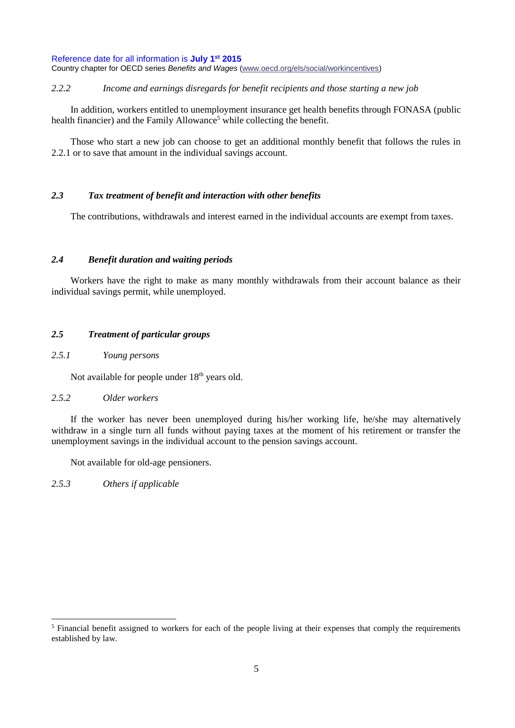*2.2.2 Income and earnings disregards for benefit recipients and those starting a new job*

In addition, workers entitled to unemployment insurance get health benefits through FONASA (public health financier) and the Family Allowance<sup>5</sup> while collecting the benefit.

Those who start a new job can choose to get an additional monthly benefit that follows the rules in 2.2.1 or to save that amount in the individual savings account.

# *2.3 Tax treatment of benefit and interaction with other benefits*

The contributions, withdrawals and interest earned in the individual accounts are exempt from taxes.

### *2.4 Benefit duration and waiting periods*

Workers have the right to make as many monthly withdrawals from their account balance as their individual savings permit, while unemployed.

### *2.5 Treatment of particular groups*

# *2.5.1 Young persons*

Not available for people under 18<sup>th</sup> years old.

### *2.5.2 Older workers*

If the worker has never been unemployed during his/her working life, he/she may alternatively withdraw in a single turn all funds without paying taxes at the moment of his retirement or transfer the unemployment savings in the individual account to the pension savings account.

Not available for old-age pensioners.

*2.5.3 Others if applicable*

<sup>&</sup>lt;sup>5</sup> Financial benefit assigned to workers for each of the people living at their expenses that comply the requirements established by law.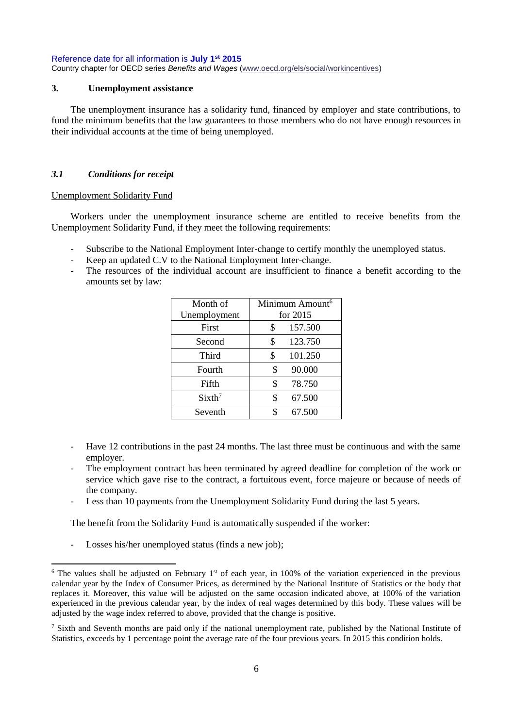#### <span id="page-5-0"></span>**3. Unemployment assistance**

The unemployment insurance has a solidarity fund, financed by employer and state contributions, to fund the minimum benefits that the law guarantees to those members who do not have enough resources in their individual accounts at the time of being unemployed.

### *3.1 Conditions for receipt*

#### Unemployment Solidarity Fund

Workers under the unemployment insurance scheme are entitled to receive benefits from the Unemployment Solidarity Fund, if they meet the following requirements:

- Subscribe to the National Employment Inter-change to certify monthly the unemployed status.
- Keep an updated C.V to the National Employment Inter-change.
- The resources of the individual account are insufficient to finance a benefit according to the amounts set by law:

| Month of           | Minimum Amount <sup>6</sup> |  |
|--------------------|-----------------------------|--|
| Unemployment       | for $2015$                  |  |
| First              | \$<br>157.500               |  |
| Second             | \$<br>123.750               |  |
| Third              | \$<br>101.250               |  |
| Fourth             | 90.000<br>\$                |  |
| Fifth              | \$<br>78.750                |  |
| Sixth <sup>7</sup> | \$<br>67.500                |  |
| Seventh            | 67.500                      |  |

- Have 12 contributions in the past 24 months. The last three must be continuous and with the same employer.
- The employment contract has been terminated by agreed deadline for completion of the work or service which gave rise to the contract, a fortuitous event, force majeure or because of needs of the company.
- Less than 10 payments from the Unemployment Solidarity Fund during the last 5 years.

The benefit from the Solidarity Fund is automatically suspended if the worker:

- Losses his/her unemployed status (finds a new job);

 $6$  The values shall be adjusted on February 1<sup>st</sup> of each year, in 100% of the variation experienced in the previous calendar year by the Index of Consumer Prices, as determined by the National Institute of Statistics or the body that replaces it. Moreover, this value will be adjusted on the same occasion indicated above, at 100% of the variation experienced in the previous calendar year, by the index of real wages determined by this body. These values will be adjusted by the wage index referred to above, provided that the change is positive.

<sup>&</sup>lt;sup>7</sup> Sixth and Seventh months are paid only if the national unemployment rate, published by the National Institute of Statistics, exceeds by 1 percentage point the average rate of the four previous years. In 2015 this condition holds.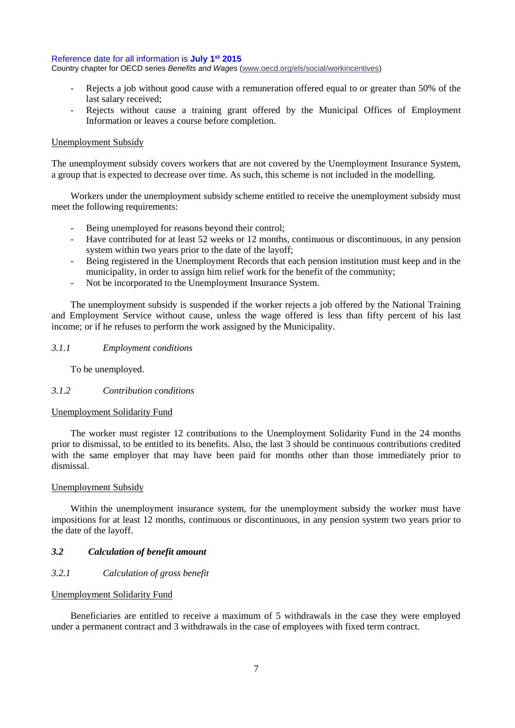#### Reference date for all information is **July 1st 2015**

Country chapter for OECD series *Benefits and Wages* [\(www.oecd.org/els/social/workincentives\)](http://www.oecd.org/els/social/workincentives)

- Rejects a job without good cause with a remuneration offered equal to or greater than 50% of the last salary received;
- Rejects without cause a training grant offered by the Municipal Offices of Employment Information or leaves a course before completion.

#### Unemployment Subsidy

The unemployment subsidy covers workers that are not covered by the Unemployment Insurance System, a group that is expected to decrease over time. As such, this scheme is not included in the modelling.

Workers under the unemployment subsidy scheme entitled to receive the unemployment subsidy must meet the following requirements:

- Being unemployed for reasons beyond their control;
- Have contributed for at least 52 weeks or 12 months, continuous or discontinuous, in any pension system within two years prior to the date of the layoff;
- Being registered in the Unemployment Records that each pension institution must keep and in the municipality, in order to assign him relief work for the benefit of the community;
- Not be incorporated to the Unemployment Insurance System.

The unemployment subsidy is suspended if the worker rejects a job offered by the National Training and Employment Service without cause, unless the wage offered is less than fifty percent of his last income; or if he refuses to perform the work assigned by the Municipality.

### *3.1.1 Employment conditions*

To be unemployed.

#### *3.1.2 Contribution conditions*

#### Unemployment Solidarity Fund

The worker must register 12 contributions to the Unemployment Solidarity Fund in the 24 months prior to dismissal, to be entitled to its benefits. Also, the last 3 should be continuous contributions credited with the same employer that may have been paid for months other than those immediately prior to dismissal.

### Unemployment Subsidy

Within the unemployment insurance system, for the unemployment subsidy the worker must have impositions for at least 12 months, continuous or discontinuous, in any pension system two years prior to the date of the layoff.

#### *3.2 Calculation of benefit amount*

# *3.2.1 Calculation of gross benefit*

#### Unemployment Solidarity Fund

Beneficiaries are entitled to receive a maximum of 5 withdrawals in the case they were employed under a permanent contract and 3 withdrawals in the case of employees with fixed term contract.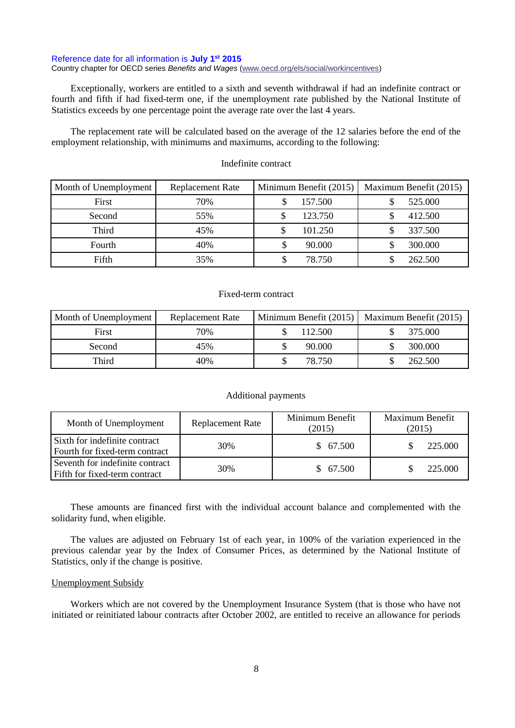#### Reference date for all information is **July 1st 2015**

#### Country chapter for OECD series *Benefits and Wages* [\(www.oecd.org/els/social/workincentives\)](http://www.oecd.org/els/social/workincentives)

Exceptionally, workers are entitled to a sixth and seventh withdrawal if had an indefinite contract or fourth and fifth if had fixed-term one, if the unemployment rate published by the National Institute of Statistics exceeds by one percentage point the average rate over the last 4 years.

The replacement rate will be calculated based on the average of the 12 salaries before the end of the employment relationship, with minimums and maximums, according to the following:

| Month of Unemployment | Replacement Rate | Minimum Benefit (2015) | Maximum Benefit (2015) |
|-----------------------|------------------|------------------------|------------------------|
| First                 | 70%              | 157.500                | 525.000                |
| Second                | 55%              | 123.750                | 412.500                |
| Third                 | 45%              | 101.250                | 337.500                |
| Fourth                | 40%              | 90.000                 | 300.000                |
| Fifth                 | 35%              | 78.750                 | 262.500                |

#### Indefinite contract

#### Fixed-term contract

| Month of Unemployment | Replacement Rate |         | Minimum Benefit (2015)   Maximum Benefit (2015) |
|-----------------------|------------------|---------|-------------------------------------------------|
| First                 | 70%              | 112.500 | 375,000                                         |
| Second                | 45%              | 90.000  | 300.000                                         |
| Third                 | 40%              | 78.750  | 262.500                                         |

#### Additional payments

| Month of Unemployment                                            | <b>Replacement Rate</b> | Minimum Benefit<br>(2015) | Maximum Benefit<br>(2015) |
|------------------------------------------------------------------|-------------------------|---------------------------|---------------------------|
| Sixth for indefinite contract<br>Fourth for fixed-term contract  | 30%                     | \$67.500                  | 225.000                   |
| Seventh for indefinite contract<br>Fifth for fixed-term contract | 30%                     | \$67.500                  | 225.000                   |

These amounts are financed first with the individual account balance and complemented with the solidarity fund, when eligible.

The values are adjusted on February 1st of each year, in 100% of the variation experienced in the previous calendar year by the Index of Consumer Prices, as determined by the National Institute of Statistics, only if the change is positive.

#### Unemployment Subsidy

Workers which are not covered by the Unemployment Insurance System (that is those who have not initiated or reinitiated labour contracts after October 2002, are entitled to receive an allowance for periods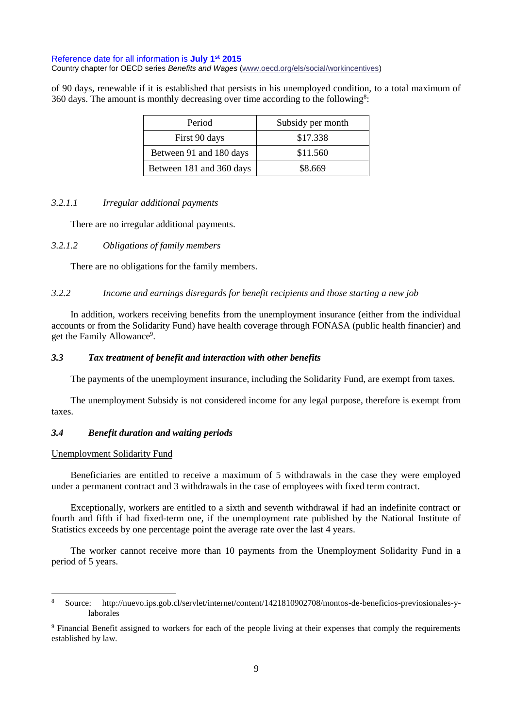of 90 days, renewable if it is established that persists in his unemployed condition, to a total maximum of 360 days. The amount is monthly decreasing over time according to the following<sup>8</sup>:

| Period                   | Subsidy per month |
|--------------------------|-------------------|
| First 90 days            | \$17.338          |
| Between 91 and 180 days  | \$11.560          |
| Between 181 and 360 days | \$8.669           |

### *3.2.1.1 Irregular additional payments*

There are no irregular additional payments.

### *3.2.1.2 Obligations of family members*

There are no obligations for the family members.

### *3.2.2 Income and earnings disregards for benefit recipients and those starting a new job*

In addition, workers receiving benefits from the unemployment insurance (either from the individual accounts or from the Solidarity Fund) have health coverage through FONASA (public health financier) and get the Family Allowance<sup>9</sup>.

# *3.3 Tax treatment of benefit and interaction with other benefits*

The payments of the unemployment insurance, including the Solidarity Fund, are exempt from taxes.

The unemployment Subsidy is not considered income for any legal purpose, therefore is exempt from taxes.

## *3.4 Benefit duration and waiting periods*

#### Unemployment Solidarity Fund

Beneficiaries are entitled to receive a maximum of 5 withdrawals in the case they were employed under a permanent contract and 3 withdrawals in the case of employees with fixed term contract.

Exceptionally, workers are entitled to a sixth and seventh withdrawal if had an indefinite contract or fourth and fifth if had fixed-term one, if the unemployment rate published by the National Institute of Statistics exceeds by one percentage point the average rate over the last 4 years.

The worker cannot receive more than 10 payments from the Unemployment Solidarity Fund in a period of 5 years.

<sup>8</sup> Source: http://nuevo.ips.gob.cl/servlet/internet/content/1421810902708/montos-de-beneficios-previosionales-ylaborales

<sup>&</sup>lt;sup>9</sup> Financial Benefit assigned to workers for each of the people living at their expenses that comply the requirements established by law.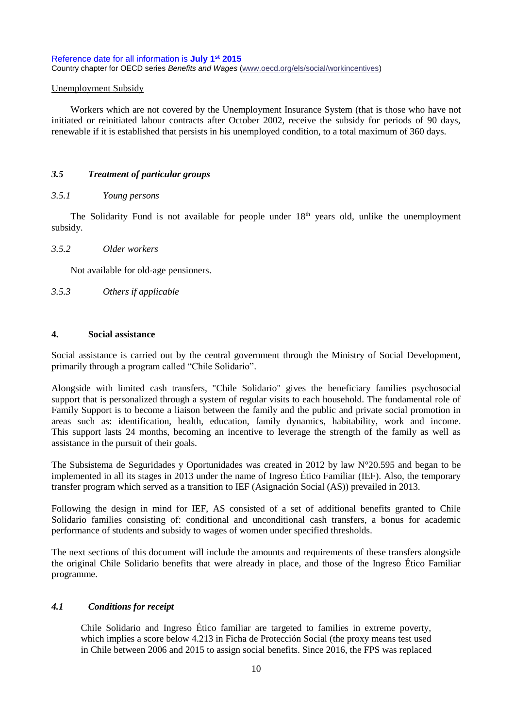#### Unemployment Subsidy

Workers which are not covered by the Unemployment Insurance System (that is those who have not initiated or reinitiated labour contracts after October 2002, receive the subsidy for periods of 90 days, renewable if it is established that persists in his unemployed condition, to a total maximum of 360 days.

#### *3.5 Treatment of particular groups*

#### *3.5.1 Young persons*

The Solidarity Fund is not available for people under 18<sup>th</sup> years old, unlike the unemployment subsidy.

#### *3.5.2 Older workers*

Not available for old-age pensioners.

*3.5.3 Others if applicable*

#### <span id="page-9-0"></span>**4. Social assistance**

Social assistance is carried out by the central government through the Ministry of Social Development, primarily through a program called "Chile Solidario".

Alongside with limited cash transfers, "Chile Solidario" gives the beneficiary families psychosocial support that is personalized through a system of regular visits to each household. The fundamental role of Family Support is to become a liaison between the family and the public and private social promotion in areas such as: identification, health, education, family dynamics, habitability, work and income. This support lasts 24 months, becoming an incentive to leverage the strength of the family as well as assistance in the pursuit of their goals.

The Subsistema de Seguridades y Oportunidades was created in 2012 by law N°20.595 and began to be implemented in all its stages in 2013 under the name of Ingreso Ético Familiar (IEF). Also, the temporary transfer program which served as a transition to IEF (Asignación Social (AS)) prevailed in 2013.

Following the design in mind for IEF, AS consisted of a set of additional benefits granted to Chile Solidario families consisting of: conditional and unconditional cash transfers, a bonus for academic performance of students and subsidy to wages of women under specified thresholds.

The next sections of this document will include the amounts and requirements of these transfers alongside the original Chile Solidario benefits that were already in place, and those of the Ingreso Ético Familiar programme.

### *4.1 Conditions for receipt*

Chile Solidario and Ingreso Ético familiar are targeted to families in extreme poverty, which implies a score below 4.213 in Ficha de Protección Social (the proxy means test used in Chile between 2006 and 2015 to assign social benefits. Since 2016, the FPS was replaced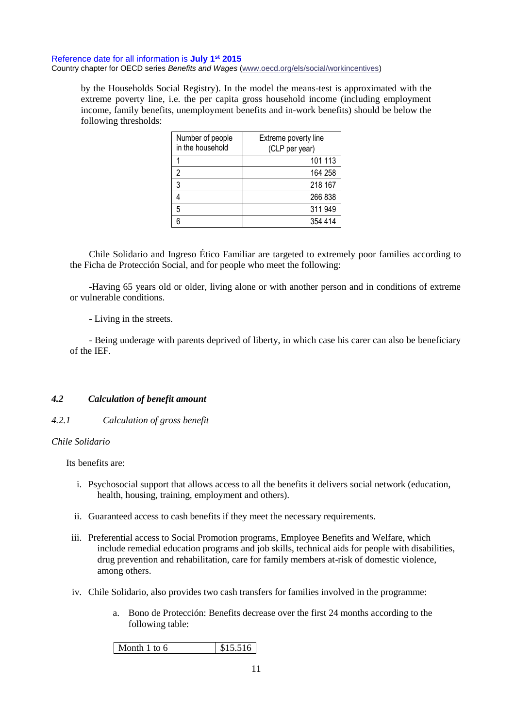by the Households Social Registry). In the model the means-test is approximated with the extreme poverty line, i.e. the per capita gross household income (including employment income, family benefits, unemployment benefits and in-work benefits) should be below the following thresholds:

| Number of people<br>in the household | Extreme poverty line<br>(CLP per year) |
|--------------------------------------|----------------------------------------|
|                                      | 101 113                                |
| 2                                    | 164 258                                |
| 3                                    | 218 167                                |
|                                      | 266 838                                |
| 5                                    | 311 949                                |
|                                      | 354 414                                |

Chile Solidario and Ingreso Ético Familiar are targeted to extremely poor families according to the Ficha de Protección Social, and for people who meet the following:

-Having 65 years old or older, living alone or with another person and in conditions of extreme or vulnerable conditions.

- Living in the streets.

- Being underage with parents deprived of liberty, in which case his carer can also be beneficiary of the IEF.

## *4.2 Calculation of benefit amount*

# *4.2.1 Calculation of gross benefit*

#### *Chile Solidario*

Its benefits are:

- i. Psychosocial support that allows access to all the benefits it delivers social network (education, health, housing, training, employment and others).
- ii. Guaranteed access to cash benefits if they meet the necessary requirements.
- iii. Preferential access to Social Promotion programs, Employee Benefits and Welfare, which include remedial education programs and job skills, technical aids for people with disabilities, drug prevention and rehabilitation, care for family members at-risk of domestic violence, among others.
- iv. Chile Solidario, also provides two cash transfers for families involved in the programme:
	- a. Bono de Protección: Benefits decrease over the first 24 months according to the following table: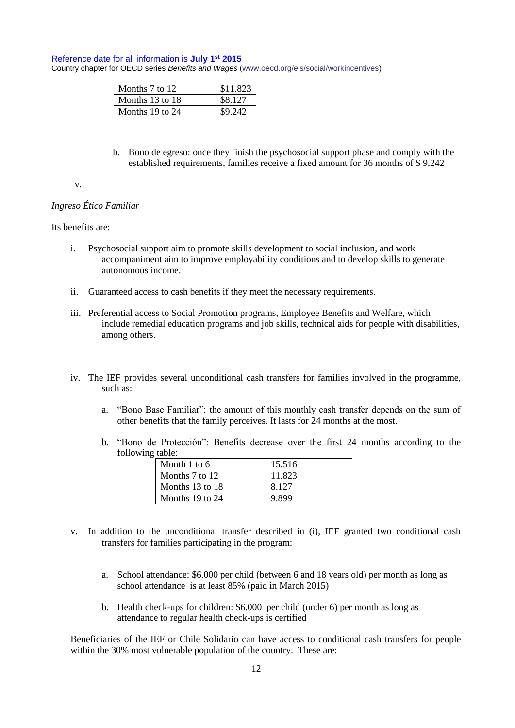#### Reference date for all information is **July 1st 2015**

Country chapter for OECD series *Benefits and Wages* [\(www.oecd.org/els/social/workincentives\)](http://www.oecd.org/els/social/workincentives)

| Months 7 to 12  | \$11.823 |
|-----------------|----------|
| Months 13 to 18 | \$8.127  |
| Months 19 to 24 | SY 949   |

b. Bono de egreso: once they finish the psychosocial support phase and comply with the established requirements, families receive a fixed amount for 36 months of \$ 9,242

#### v.

# *Ingreso Ético Familiar*

### Its benefits are:

- i. Psychosocial support aim to promote skills development to social inclusion, and work accompaniment aim to improve employability conditions and to develop skills to generate autonomous income.
- ii. Guaranteed access to cash benefits if they meet the necessary requirements.
- iii. Preferential access to Social Promotion programs, Employee Benefits and Welfare, which include remedial education programs and job skills, technical aids for people with disabilities, among others.
- iv. The IEF provides several unconditional cash transfers for families involved in the programme, such as:
	- a. "Bono Base Familiar": the amount of this monthly cash transfer depends on the sum of other benefits that the family perceives. It lasts for 24 months at the most.
	- b. "Bono de Protección": Benefits decrease over the first 24 months according to the following table:

| Month 1 to 6    | 15.516 |
|-----------------|--------|
| Months 7 to 12  | 11.823 |
| Months 13 to 18 | 8.127  |
| Months 19 to 24 | 9.899  |

- v. In addition to the unconditional transfer described in (i), IEF granted two conditional cash transfers for families participating in the program:
	- a. School attendance: \$6.000 per child (between 6 and 18 years old) per month as long as school attendance is at least 85% (paid in March 2015)
	- b. Health check-ups for children: \$6.000 per child (under 6) per month as long as attendance to regular health check-ups is certified

Beneficiaries of the IEF or Chile Solidario can have access to conditional cash transfers for people within the 30% most vulnerable population of the country. These are: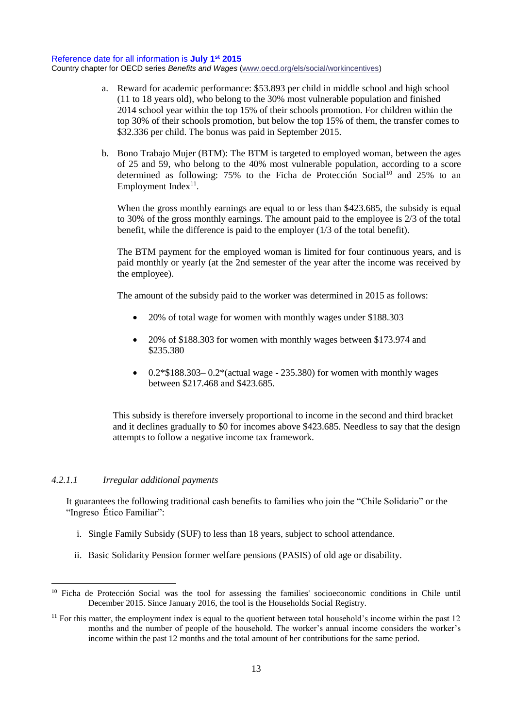- a. Reward for academic performance: \$53.893 per child in middle school and high school (11 to 18 years old), who belong to the 30% most vulnerable population and finished 2014 school year within the top 15% of their schools promotion. For children within the top 30% of their schools promotion, but below the top 15% of them, the transfer comes to \$32.336 per child. The bonus was paid in September 2015.
- b. Bono Trabajo Mujer (BTM): The BTM is targeted to employed woman, between the ages of 25 and 59, who belong to the 40% most vulnerable population, according to a score determined as following:  $75\%$  to the Ficha de Protección Social<sup>10</sup> and  $25\%$  to an Employment Index $11$ .

When the gross monthly earnings are equal to or less than \$423.685, the subsidy is equal to 30% of the gross monthly earnings. The amount paid to the employee is 2/3 of the total benefit, while the difference is paid to the employer (1/3 of the total benefit).

The BTM payment for the employed woman is limited for four continuous years, and is paid monthly or yearly (at the 2nd semester of the year after the income was received by the employee).

The amount of the subsidy paid to the worker was determined in 2015 as follows:

- 20% of total wage for women with monthly wages under \$188.303
- 20% of \$188.303 for women with monthly wages between \$173.974 and \$235.380
- $\bullet$  0.2\*\$188.303–0.2\*(actual wage 235.380) for women with monthly wages between \$217.468 and \$423.685.

This subsidy is therefore inversely proportional to income in the second and third bracket and it declines gradually to \$0 for incomes above \$423.685. Needless to say that the design attempts to follow a negative income tax framework.

### *4.2.1.1 Irregular additional payments*

It guarantees the following traditional cash benefits to families who join the "Chile Solidario" or the "Ingreso Ético Familiar":

- i. Single Family Subsidy (SUF) to less than 18 years, subject to school attendance.
- ii. Basic Solidarity Pension former welfare pensions (PASIS) of old age or disability.

<sup>&</sup>lt;sup>10</sup> Ficha de Protección Social was the tool for assessing the families' socioeconomic conditions in Chile until December 2015. Since January 2016, the tool is the Households Social Registry.

 $11$  For this matter, the employment index is equal to the quotient between total household's income within the past 12 months and the number of people of the household. The worker's annual income considers the worker's income within the past 12 months and the total amount of her contributions for the same period.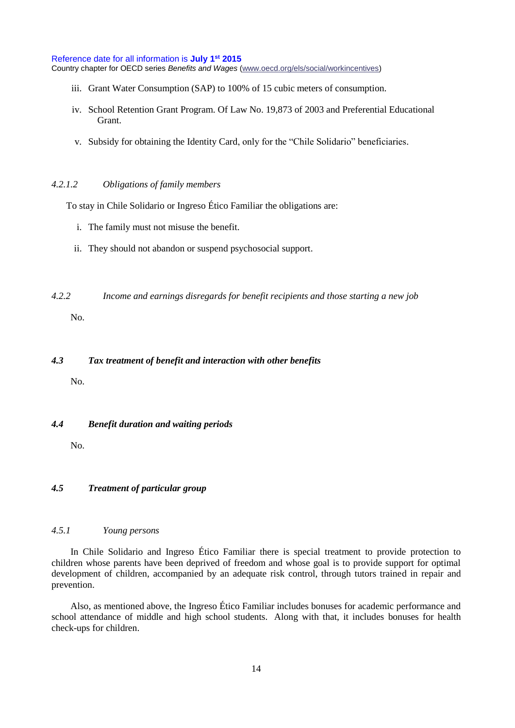#### Reference date for all information is **July 1st 2015**

Country chapter for OECD series *Benefits and Wages* [\(www.oecd.org/els/social/workincentives\)](http://www.oecd.org/els/social/workincentives)

- iii. Grant Water Consumption (SAP) to 100% of 15 cubic meters of consumption.
- iv. School Retention Grant Program. Of Law No. 19,873 of 2003 and Preferential Educational Grant.
- v. Subsidy for obtaining the Identity Card, only for the "Chile Solidario" beneficiaries.

#### *4.2.1.2 Obligations of family members*

To stay in Chile Solidario or Ingreso Ético Familiar the obligations are:

- i. The family must not misuse the benefit.
- ii. They should not abandon or suspend psychosocial support.
- *4.2.2 Income and earnings disregards for benefit recipients and those starting a new job*

No.

#### *4.3 Tax treatment of benefit and interaction with other benefits*

No.

*4.4 Benefit duration and waiting periods*

No.

# *4.5 Treatment of particular group*

# *4.5.1 Young persons*

In Chile Solidario and Ingreso Ético Familiar there is special treatment to provide protection to children whose parents have been deprived of freedom and whose goal is to provide support for optimal development of children, accompanied by an adequate risk control, through tutors trained in repair and prevention.

Also, as mentioned above, the Ingreso Ético Familiar includes bonuses for academic performance and school attendance of middle and high school students. Along with that, it includes bonuses for health check-ups for children.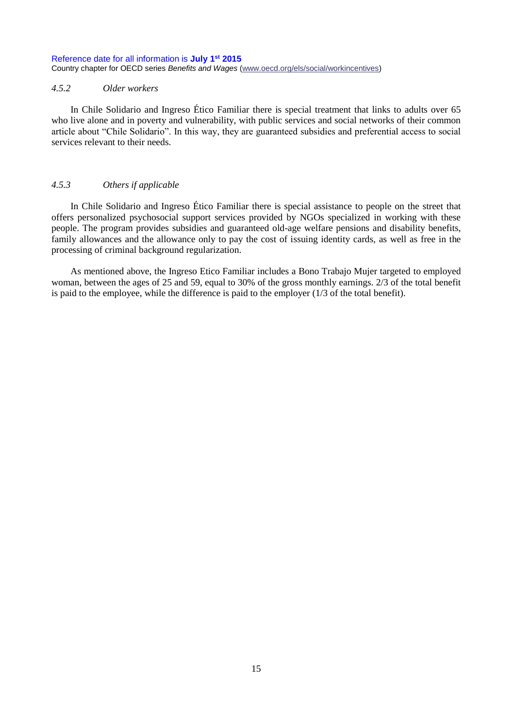#### *4.5.2 Older workers*

In Chile Solidario and Ingreso Ético Familiar there is special treatment that links to adults over 65 who live alone and in poverty and vulnerability, with public services and social networks of their common article about "Chile Solidario". In this way, they are guaranteed subsidies and preferential access to social services relevant to their needs.

#### *4.5.3 Others if applicable*

In Chile Solidario and Ingreso Ético Familiar there is special assistance to people on the street that offers personalized psychosocial support services provided by NGOs specialized in working with these people. The program provides subsidies and guaranteed old-age welfare pensions and disability benefits, family allowances and the allowance only to pay the cost of issuing identity cards, as well as free in the processing of criminal background regularization.

As mentioned above, the Ingreso Etico Familiar includes a Bono Trabajo Mujer targeted to employed woman, between the ages of 25 and 59, equal to 30% of the gross monthly earnings. 2/3 of the total benefit is paid to the employee, while the difference is paid to the employer (1/3 of the total benefit).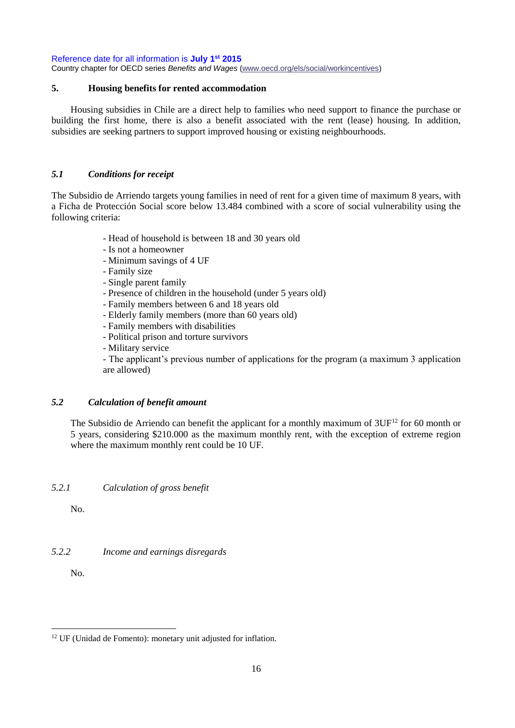Reference date for all information is **July 1st 2015**

Country chapter for OECD series *Benefits and Wages* [\(www.oecd.org/els/social/workincentives\)](http://www.oecd.org/els/social/workincentives)

### <span id="page-15-0"></span>**5. Housing benefits for rented accommodation**

Housing subsidies in Chile are a direct help to families who need support to finance the purchase or building the first home, there is also a benefit associated with the rent (lease) housing. In addition, subsidies are seeking partners to support improved housing or existing neighbourhoods.

# *5.1 Conditions for receipt*

The Subsidio de Arriendo targets young families in need of rent for a given time of maximum 8 years, with a Ficha de Protección Social score below 13.484 combined with a score of social vulnerability using the following criteria:

- Head of household is between 18 and 30 years old
- Is not a homeowner
- Minimum savings of 4 UF
- Family size
- Single parent family
- Presence of children in the household (under 5 years old)
- Family members between 6 and 18 years old
- Elderly family members (more than 60 years old)
- Family members with disabilities
- Political prison and torture survivors
- Military service

- The applicant's previous number of applications for the program (a maximum 3 application are allowed)

## *5.2 Calculation of benefit amount*

The Subsidio de Arriendo can benefit the applicant for a monthly maximum of  $3UF<sup>12</sup>$  for 60 month or 5 years, considering \$210.000 as the maximum monthly rent, with the exception of extreme region where the maximum monthly rent could be 10 UF.

*5.2.1 Calculation of gross benefit*

No.

## *5.2.2 Income and earnings disregards*

No.

<sup>&</sup>lt;sup>12</sup> UF (Unidad de Fomento): monetary unit adjusted for inflation.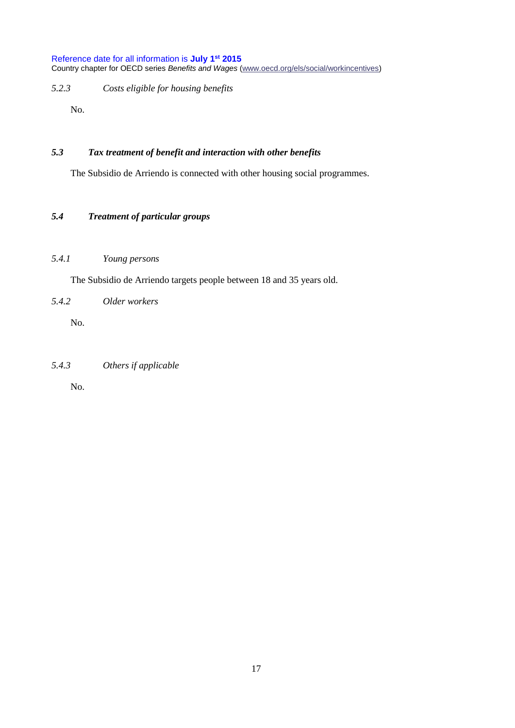*5.2.3 Costs eligible for housing benefits*

No.

# *5.3 Tax treatment of benefit and interaction with other benefits*

The Subsidio de Arriendo is connected with other housing social programmes.

# *5.4 Treatment of particular groups*

## *5.4.1 Young persons*

The Subsidio de Arriendo targets people between 18 and 35 years old.

*5.4.2 Older workers*

No.

# *5.4.3 Others if applicable*

No.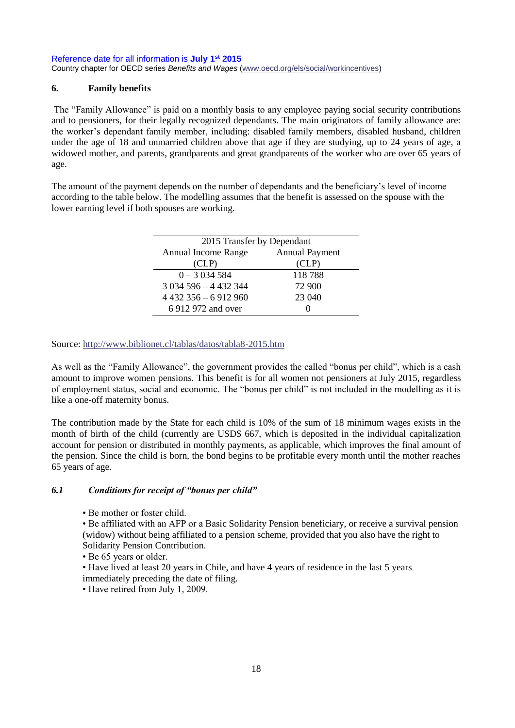# <span id="page-17-0"></span>**6. Family benefits**

The "Family Allowance" is paid on a monthly basis to any employee paying social security contributions and to pensioners, for their legally recognized dependants. The main originators of family allowance are: the worker's dependant family member, including: disabled family members, disabled husband, children under the age of 18 and unmarried children above that age if they are studying, up to 24 years of age, a widowed mother, and parents, grandparents and great grandparents of the worker who are over 65 years of age.

The amount of the payment depends on the number of dependants and the beneficiary's level of income according to the table below. The modelling assumes that the benefit is assessed on the spouse with the lower earning level if both spouses are working.

| 2015 Transfer by Dependant |                       |  |
|----------------------------|-----------------------|--|
| Annual Income Range        | <b>Annual Payment</b> |  |
| (CLP)                      | CLP)                  |  |
| $0 - 3034584$              | 118788                |  |
| $3034596 - 4432344$        | 72 900                |  |
| $4432356 - 6912960$        | 23 040                |  |
| 6 912 972 and over         |                       |  |

Source:<http://www.biblionet.cl/tablas/datos/tabla8-2015.htm>

As well as the "Family Allowance", the government provides the called "bonus per child", which is a cash amount to improve women pensions. This benefit is for all women not pensioners at July 2015, regardless of employment status, social and economic. The "bonus per child" is not included in the modelling as it is like a one-off maternity bonus.

The contribution made by the State for each child is 10% of the sum of 18 minimum wages exists in the month of birth of the child (currently are USD\$ 667, which is deposited in the individual capitalization account for pension or distributed in monthly payments, as applicable, which improves the final amount of the pension. Since the child is born, the bond begins to be profitable every month until the mother reaches 65 years of age.

## *6.1 Conditions for receipt of "bonus per child"*

• Be mother or foster child.

• Be affiliated with an AFP or a Basic Solidarity Pension beneficiary, or receive a survival pension (widow) without being affiliated to a pension scheme, provided that you also have the right to Solidarity Pension Contribution.

• Be 65 years or older.

• Have lived at least 20 years in Chile, and have 4 years of residence in the last 5 years immediately preceding the date of filing.

• Have retired from July 1, 2009.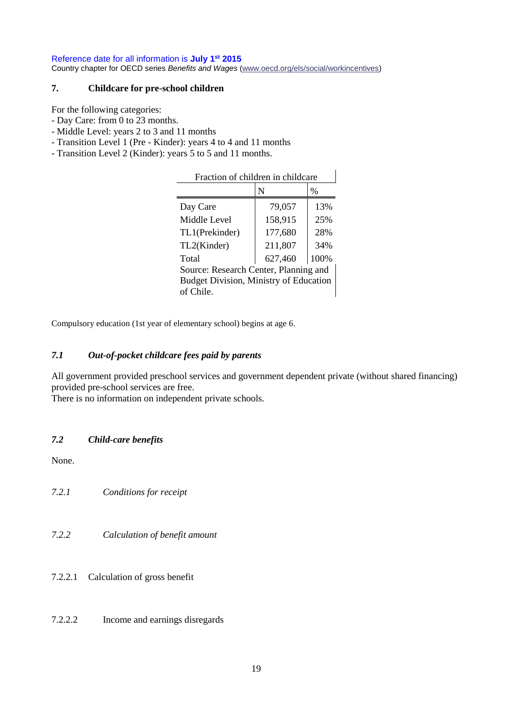# <span id="page-18-0"></span>**7. Childcare for pre-school children**

For the following categories:

- Day Care: from 0 to 23 months.
- Middle Level: years 2 to 3 and 11 months
- Transition Level 1 (Pre Kinder): years 4 to 4 and 11 months
- Transition Level 2 (Kinder): years 5 to 5 and 11 months.

| Fraction of children in childcare             |         |      |
|-----------------------------------------------|---------|------|
|                                               | N       | %    |
| Day Care                                      | 79,057  | 13%  |
| Middle Level                                  | 158,915 | 25%  |
| TL1(Prekinder)                                | 177,680 | 28%  |
| TL2(Kinder)                                   | 211,807 | 34%  |
| Total                                         | 627,460 | 100% |
| Source: Research Center, Planning and         |         |      |
| <b>Budget Division, Ministry of Education</b> |         |      |
| of Chile                                      |         |      |

Compulsory education (1st year of elementary school) begins at age 6.

# *7.1 Out-of-pocket childcare fees paid by parents*

All government provided preschool services and government dependent private (without shared financing) provided pre-school services are free.

There is no information on independent private schools.

# *7.2 Child-care benefits*

None.

*7.2.1 Conditions for receipt*

- *7.2.2 Calculation of benefit amount*
- 7.2.2.1 Calculation of gross benefit
- 7.2.2.2 Income and earnings disregards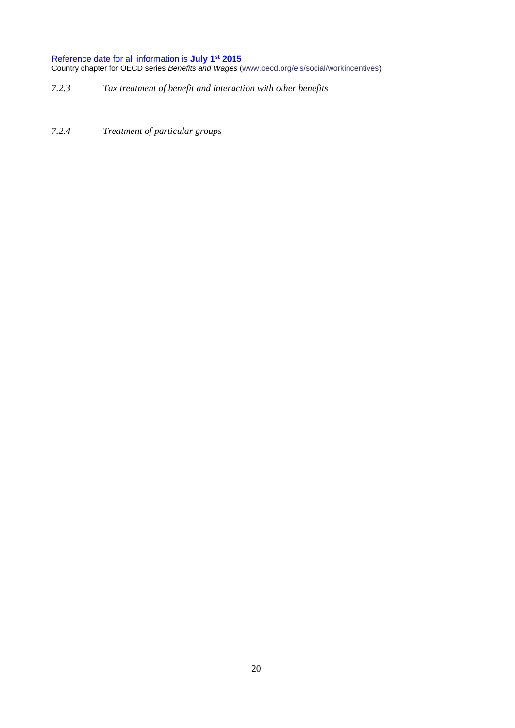- *7.2.3 Tax treatment of benefit and interaction with other benefits*
- *7.2.4 Treatment of particular groups*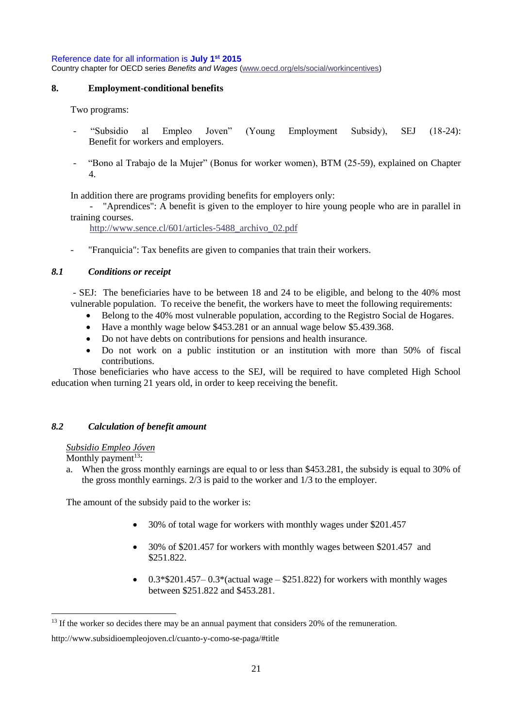### <span id="page-20-0"></span>**8. Employment-conditional benefits**

Two programs:

- "Subsidio al Empleo Joven" (Young Employment Subsidy), SEJ (18-24): Benefit for workers and employers.
- "Bono al Trabajo de la Mujer" (Bonus for worker women), BTM (25-59), explained on Chapter 4.

In addition there are programs providing benefits for employers only:

- "Aprendices": A benefit is given to the employer to hire young people who are in parallel in training courses.

[http://www.sence.cl/601/articles-5488\\_archivo\\_02.pdf](http://www.sence.cl/601/articles-5488_archivo_02.pdf)

- "Franquicia": Tax benefits are given to companies that train their workers.

### *8.1 Conditions or receipt*

- SEJ: The beneficiaries have to be between 18 and 24 to be eligible, and belong to the 40% most vulnerable population. To receive the benefit, the workers have to meet the following requirements:

- Belong to the 40% most vulnerable population, according to the Registro Social de Hogares.
- Have a monthly wage below \$453.281 or an annual wage below \$5.439.368.
- Do not have debts on contributions for pensions and health insurance.
- Do not work on a public institution or an institution with more than 50% of fiscal contributions.

Those beneficiaries who have access to the SEJ, will be required to have completed High School education when turning 21 years old, in order to keep receiving the benefit.

## *8.2 Calculation of benefit amount*

#### *Subsidio Empleo Jóven*

Monthly payment<sup>13</sup>:

a. When the gross monthly earnings are equal to or less than \$453.281, the subsidy is equal to 30% of the gross monthly earnings. 2/3 is paid to the worker and 1/3 to the employer.

The amount of the subsidy paid to the worker is:

- 30% of total wage for workers with monthly wages under \$201.457
- 30% of \$201.457 for workers with monthly wages between \$201.457 and \$251.822.
- $0.3*$ \$201.457– $0.3*$ (actual wage \$251.822) for workers with monthly wages between \$251.822 and \$453.281.

<sup>&</sup>lt;sup>13</sup> If the worker so decides there may be an annual payment that considers 20% of the remuneration.

http://www.subsidioempleojoven.cl/cuanto-y-como-se-paga/#title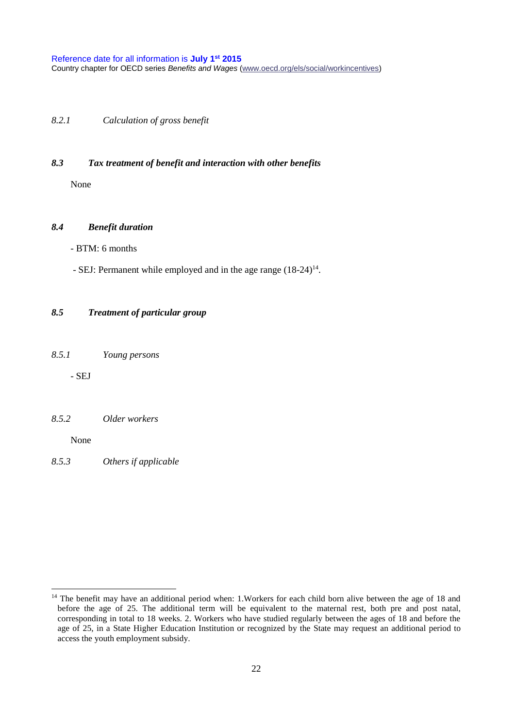*8.2.1 Calculation of gross benefit*

### *8.3 Tax treatment of benefit and interaction with other benefits*

None

### *8.4 Benefit duration*

- BTM: 6 months

- SEJ: Permanent while employed and in the age range  $(18-24)^{14}$ .

### *8.5 Treatment of particular group*

*8.5.1 Young persons*

- SEJ

#### *8.5.2 Older workers*

None

*8.5.3 Others if applicable*

<sup>&</sup>lt;sup>14</sup> The benefit may have an additional period when: 1. Workers for each child born alive between the age of 18 and before the age of 25. The additional term will be equivalent to the maternal rest, both pre and post natal, corresponding in total to 18 weeks. 2. Workers who have studied regularly between the ages of 18 and before the age of 25, in a State Higher Education Institution or recognized by the State may request an additional period to access the youth employment subsidy.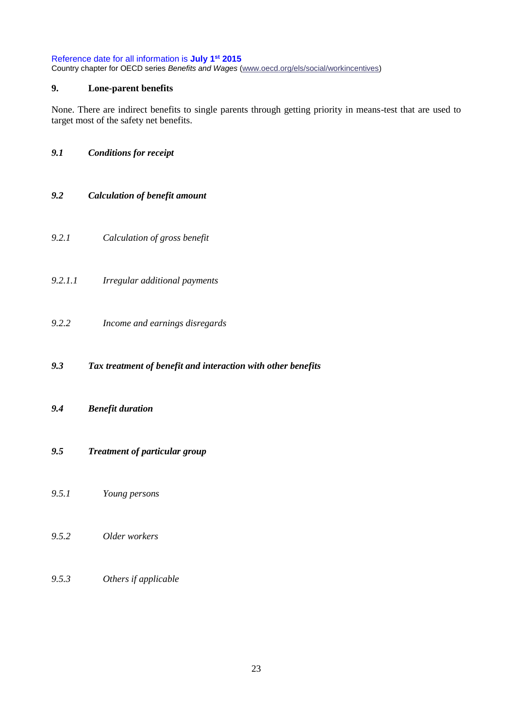# <span id="page-22-0"></span>**9. Lone-parent benefits**

None. There are indirect benefits to single parents through getting priority in means-test that are used to target most of the safety net benefits.

# *9.1 Conditions for receipt*

- *9.2 Calculation of benefit amount*
- *9.2.1 Calculation of gross benefit*
- *9.2.1.1 Irregular additional payments*
- *9.2.2 Income and earnings disregards*
- *9.3 Tax treatment of benefit and interaction with other benefits*
- *9.4 Benefit duration*
- *9.5 Treatment of particular group*
- *9.5.1 Young persons*
- *9.5.2 Older workers*
- *9.5.3 Others if applicable*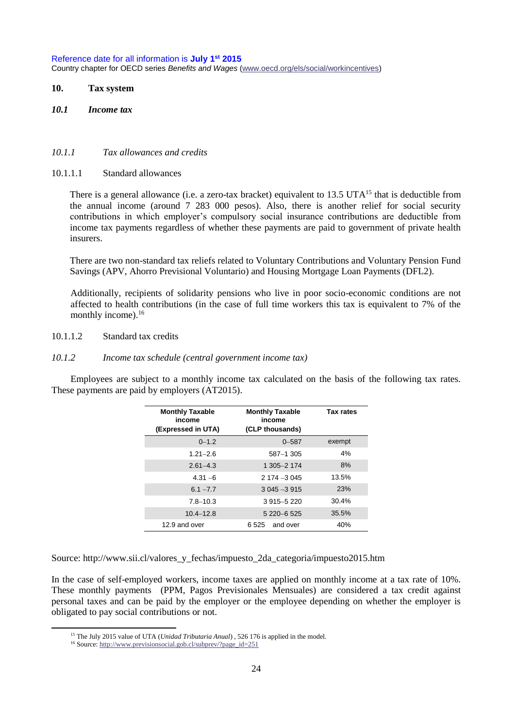### <span id="page-23-0"></span>**10. Tax system**

*10.1 Income tax*

#### *10.1.1 Tax allowances and credits*

10.1.1.1 Standard allowances

There is a general allowance (i.e. a zero-tax bracket) equivalent to 13.5 UTA<sup>15</sup> that is deductible from the annual income (around 7 283 000 pesos). Also, there is another relief for social security contributions in which employer's compulsory social insurance contributions are deductible from income tax payments regardless of whether these payments are paid to government of private health insurers.

There are two non-standard tax reliefs related to Voluntary Contributions and Voluntary Pension Fund Savings (APV, Ahorro Previsional Voluntario) and Housing Mortgage Loan Payments (DFL2).

Additionally, recipients of solidarity pensions who live in poor socio-economic conditions are not affected to health contributions (in the case of full time workers this tax is equivalent to 7% of the monthly income). $16$ 

10.1.1.2 Standard tax credits

#### *10.1.2 Income tax schedule (central government income tax)*

Employees are subject to a monthly income tax calculated on the basis of the following tax rates. These payments are paid by employers (AT2015).

| <b>Monthly Taxable</b><br>income<br>(Expressed in UTA) | <b>Monthly Taxable</b><br>income<br>(CLP thousands) | <b>Tax rates</b> |
|--------------------------------------------------------|-----------------------------------------------------|------------------|
| $0 - 1.2$                                              | $0 - 587$                                           | exempt           |
| $1.21 - 2.6$                                           | 587-1305                                            | 4%               |
| $2.61 - 4.3$                                           | 1 305-2 174                                         | 8%               |
| $4.31 - 6$                                             | $2174 - 3045$                                       | 13.5%            |
| $6.1 - 7.7$                                            | $3045 - 3915$                                       | 23%              |
| $7.8 - 10.3$                                           | 3 915 - 5 220                                       | 30.4%            |
| $10.4 - 12.8$                                          | 5 220 - 6 525                                       | 35.5%            |
| 12.9 and over                                          | 6.525 and over                                      | 40%              |

Source: http://www.sii.cl/valores\_y\_fechas/impuesto\_2da\_categoria/impuesto2015.htm

In the case of self-employed workers, income taxes are applied on monthly income at a tax rate of 10%. These monthly payments (PPM, Pagos Previsionales Mensuales) are considered a tax credit against personal taxes and can be paid by the employer or the employee depending on whether the employer is obligated to pay social contributions or not.

 $\overline{a}$ 

<sup>15</sup> The July 2015 value of UTA (*Unidad Tributaria Anual*) , 526 176 is applied in the model.

<sup>16</sup> Source[: http://www.previsionsocial.gob.cl/subprev/?page\\_id=251](http://www.previsionsocial.gob.cl/subprev/?page_id=251)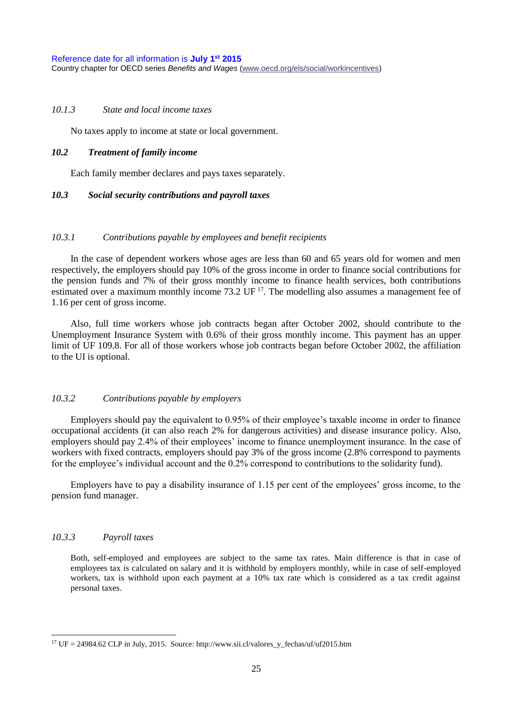### *10.1.3 State and local income taxes*

No taxes apply to income at state or local government.

#### *10.2 Treatment of family income*

Each family member declares and pays taxes separately.

### *10.3 Social security contributions and payroll taxes*

#### *10.3.1 Contributions payable by employees and benefit recipients*

In the case of dependent workers whose ages are less than 60 and 65 years old for women and men respectively, the employers should pay 10% of the gross income in order to finance social contributions for the pension funds and 7% of their gross monthly income to finance health services, both contributions estimated over a maximum monthly income 73.2 UF<sup>17</sup>. The modelling also assumes a management fee of 1.16 per cent of gross income.

Also, full time workers whose job contracts began after October 2002, should contribute to the Unemployment Insurance System with 0.6% of their gross monthly income. This payment has an upper limit of UF 109.8. For all of those workers whose job contracts began before October 2002, the affiliation to the UI is optional.

### *10.3.2 Contributions payable by employers*

Employers should pay the equivalent to 0.95% of their employee's taxable income in order to finance occupational accidents (it can also reach 2% for dangerous activities) and disease insurance policy. Also, employers should pay 2.4% of their employees' income to finance unemployment insurance. In the case of workers with fixed contracts, employers should pay 3% of the gross income (2.8% correspond to payments for the employee's individual account and the 0.2% correspond to contributions to the solidarity fund).

Employers have to pay a disability insurance of 1.15 per cent of the employees' gross income, to the pension fund manager.

### *10.3.3 Payroll taxes*

Both, self-employed and employees are subject to the same tax rates. Main difference is that in case of employees tax is calculated on salary and it is withhold by employers monthly, while in case of self-employed workers, tax is withhold upon each payment at a 10% tax rate which is considered as a tax credit against personal taxes.

<sup>&</sup>lt;sup>17</sup> UF = 24984.62 CLP in July, 2015. Source: http://www.sii.cl/valores\_y\_fechas/uf/uf2015.htm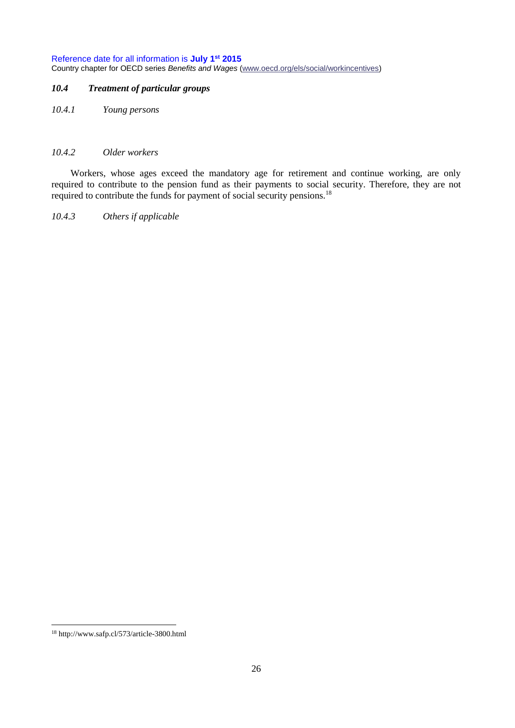# *10.4 Treatment of particular groups*

*10.4.1 Young persons*

### *10.4.2 Older workers*

Workers, whose ages exceed the mandatory age for retirement and continue working, are only required to contribute to the pension fund as their payments to social security. Therefore, they are not required to contribute the funds for payment of social security pensions.<sup>18</sup>

*10.4.3 Others if applicable*

 <sup>18</sup> http://www.safp.cl/573/article-3800.html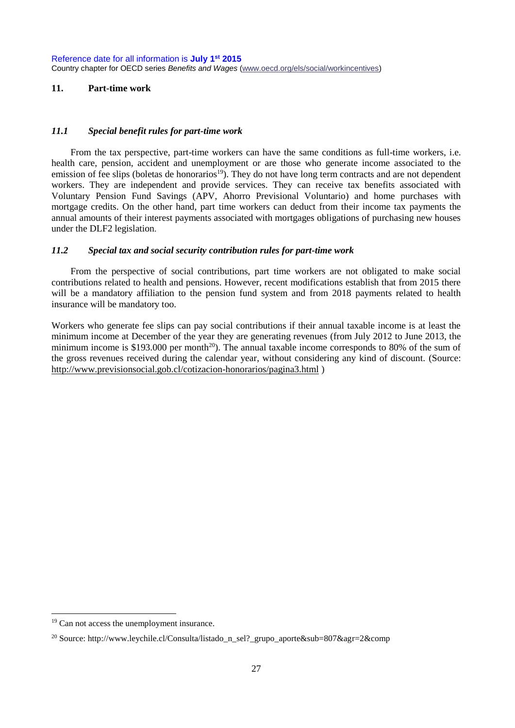### <span id="page-26-0"></span>**11. Part-time work**

### *11.1 Special benefit rules for part-time work*

From the tax perspective, part-time workers can have the same conditions as full-time workers, i.e. health care, pension, accident and unemployment or are those who generate income associated to the emission of fee slips (boletas de honorarios<sup>19</sup>). They do not have long term contracts and are not dependent workers. They are independent and provide services. They can receive tax benefits associated with Voluntary Pension Fund Savings (APV, Ahorro Previsional Voluntario) and home purchases with mortgage credits. On the other hand, part time workers can deduct from their income tax payments the annual amounts of their interest payments associated with mortgages obligations of purchasing new houses under the DLF2 legislation.

### *11.2 Special tax and social security contribution rules for part-time work*

From the perspective of social contributions, part time workers are not obligated to make social contributions related to health and pensions. However, recent modifications establish that from 2015 there will be a mandatory affiliation to the pension fund system and from 2018 payments related to health insurance will be mandatory too.

Workers who generate fee slips can pay social contributions if their annual taxable income is at least the minimum income at December of the year they are generating revenues (from July 2012 to June 2013, the minimum income is \$193.000 per month<sup>20</sup>). The annual taxable income corresponds to 80% of the sum of the gross revenues received during the calendar year, without considering any kind of discount. (Source: <http://www.previsionsocial.gob.cl/cotizacion-honorarios/pagina3.html> )

<sup>&</sup>lt;sup>19</sup> Can not access the unemployment insurance.

<sup>&</sup>lt;sup>20</sup> Source: http://www.leychile.cl/Consulta/listado\_n\_sel?\_grupo\_aporte&sub=807&agr=2&comp